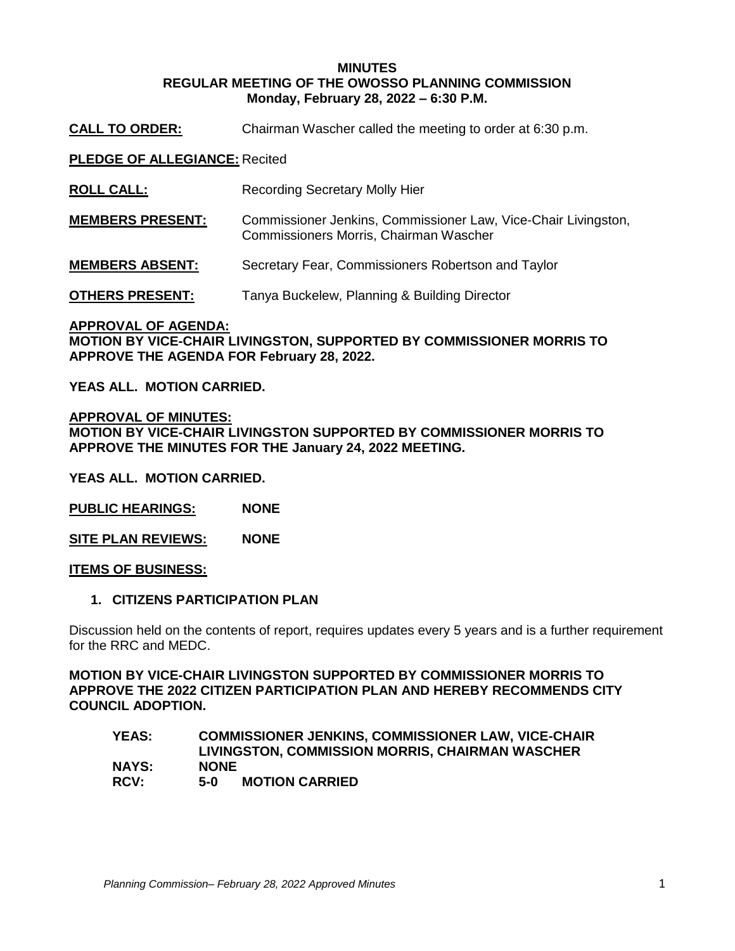### **MINUTES REGULAR MEETING OF THE OWOSSO PLANNING COMMISSION Monday, February 28, 2022 – 6:30 P.M.**

**CALL TO ORDER:** Chairman Wascher called the meeting to order at 6:30 p.m.

**PLEDGE OF ALLEGIANCE:** Recited

**ROLL CALL:** Recording Secretary Molly Hier

**MEMBERS PRESENT:** Commissioner Jenkins, Commissioner Law, Vice-Chair Livingston, Commissioners Morris, Chairman Wascher

**MEMBERS ABSENT:** Secretary Fear, Commissioners Robertson and Taylor

**OTHERS PRESENT:** Tanya Buckelew, Planning & Building Director

**APPROVAL OF AGENDA: MOTION BY VICE-CHAIR LIVINGSTON, SUPPORTED BY COMMISSIONER MORRIS TO APPROVE THE AGENDA FOR February 28, 2022.** 

**YEAS ALL. MOTION CARRIED.**

**APPROVAL OF MINUTES: MOTION BY VICE-CHAIR LIVINGSTON SUPPORTED BY COMMISSIONER MORRIS TO APPROVE THE MINUTES FOR THE January 24, 2022 MEETING.** 

**YEAS ALL. MOTION CARRIED.**

**PUBLIC HEARINGS: NONE**

**SITE PLAN REVIEWS: NONE**

**ITEMS OF BUSINESS:**

## **1. CITIZENS PARTICIPATION PLAN**

Discussion held on the contents of report, requires updates every 5 years and is a further requirement for the RRC and MEDC.

**MOTION BY VICE-CHAIR LIVINGSTON SUPPORTED BY COMMISSIONER MORRIS TO APPROVE THE 2022 CITIZEN PARTICIPATION PLAN AND HEREBY RECOMMENDS CITY COUNCIL ADOPTION.** 

### **YEAS: COMMISSIONER JENKINS, COMMISSIONER LAW, VICE-CHAIR LIVINGSTON, COMMISSION MORRIS, CHAIRMAN WASCHER NAYS: NONE RCV: 5-0 MOTION CARRIED**